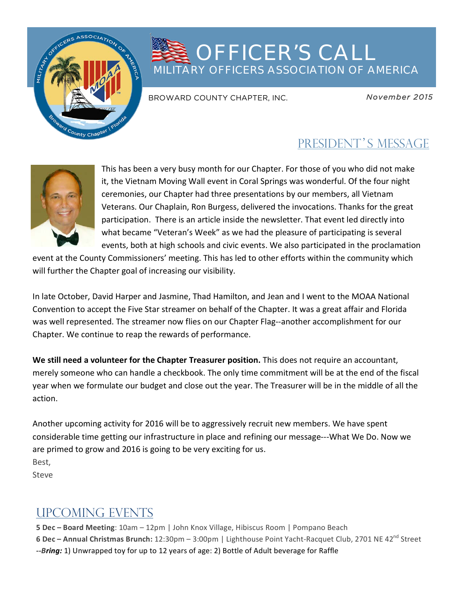

## OFFICER'S CALL MILITARY OFFICERS ASSOCIATION OF AMERICA

BROWARD COUNTY CHAPTER, INC.

*November 2015* 

## PRESIDENT'S MESSAGE



This has been a very busy month for our Chapter. For those of you who did not make it, the Vietnam Moving Wall event in Coral Springs was wonderful. Of the four night ceremonies, our Chapter had three presentations by our members, all Vietnam Veterans. Our Chaplain, Ron Burgess, delivered the invocations. Thanks for the great participation. There is an article inside the newsletter. That event led directly into what became "Veteran's Week" as we had the pleasure of participating is several events, both at high schools and civic events. We also participated in the proclamation

event at the County Commissioners' meeting. This has led to other efforts within the community which will further the Chapter goal of increasing our visibility.

In late October, David Harper and Jasmine, Thad Hamilton, and Jean and I went to the MOAA National Convention to accept the Five Star streamer on behalf of the Chapter. It was a great affair and Florida was well represented. The streamer now flies on our Chapter Flag--another accomplishment for our Chapter. We continue to reap the rewards of performance.

**We still need a volunteer for the Chapter Treasurer position.** This does not require an accountant, merely someone who can handle a checkbook. The only time commitment will be at the end of the fiscal year when we formulate our budget and close out the year. The Treasurer will be in the middle of all the action. 

Another upcoming activity for 2016 will be to aggressively recruit new members. We have spent considerable time getting our infrastructure in place and refining our message---What We Do. Now we are primed to grow and 2016 is going to be very exciting for us. Best, Steve

## UPCOMING EVENTS

- **5 Dec Board Meeting:** 10am 12pm | John Knox Village, Hibiscus Room | Pompano Beach
- **6 Dec Annual Christmas Brunch:** 12:30pm 3:00pm | Lighthouse Point Yacht-Racquet Club, 2701 NE 42<sup>nd</sup> Street --Bring: 1) Unwrapped toy for up to 12 years of age: 2) Bottle of Adult beverage for Raffle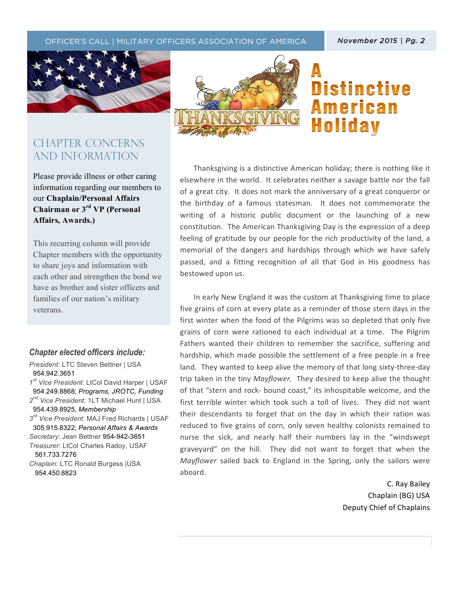#### OFFICER'S CALL | MILITARY OFFICERS ASSOCIATION OF AMERICA **November 2015 | Pg. 2**



### CHAPTER CONCERNs AND INFORMATION

Please provide illness or other caring information regarding our members to our **Chaplain/Personal Affairs Chairman or 3rd VP (Personal Affairs, Awards.)**

This recurring column will provide Chapter members with the opportunity to share joys and information with each other and strengthen the bond we have as brother and sister officers and families of our nation's military veterans.

#### *Chapter elected officers include:*

*President*: LTC Steven Bettner | USA 954.942.3651 *1st Vice President*: LtCol David Harper | USAF 954.249.8868; *Programs, JROTC, Funding 2nd Vice President*: 1LT Michael Hunt | USA 954.439.8925, *Membership 3rd Vice President*: MAJ Fred Richards | USAF 305.915.8322; *Personal Affairs & Awards Secretary*: Jean Bettner 954-942-3651 *Treasurer*: LtCol Charles Radoy, USAF 561.733.7276 *Chaplain*: LTC Ronald Burgess |USA 954.450.8823



 $\mathcal{T}_{\mathcal{A}}$  (the text)  $\mathcal{T}_{\mathcal{A}}$  (the text)  $\mathcal{T}_{\mathcal{A}}$  (the text)  $\mathcal{T}_{\mathcal{A}}$  (the text)  $\mathcal{T}_{\mathcal{A}}$ 

# **Distinctive American Holiday**

Thanksgiving is a distinctive American holiday; there is nothing like it elsewhere in the world. It celebrates neither a savage battle nor the fall of a great city. It does not mark the anniversary of a great conqueror or the birthday of a famous statesman. It does not commemorate the writing of a historic public document or the launching of a new constitution. The American Thanksgiving Day is the expression of a deep feeling of gratitude by our people for the rich productivity of the land, a memorial of the dangers and hardships through which we have safely passed, and a fitting recognition of all that God in His goodness has bestowed upon us.

In early New England it was the custom at Thanksgiving time to place five grains of corn at every plate as a reminder of those stern days in the first winter when the food of the Pilgrims was so depleted that only five grains of corn were rationed to each individual at a time. The Pilgrim Fathers wanted their children to remember the sacrifice, suffering and hardship, which made possible the settlement of a free people in a free land. They wanted to keep alive the memory of that long sixty-three-day trip taken in the tiny *Mayflower*. They desired to keep alive the thought of that "stern and rock- bound coast," its inhospitable welcome, and the first terrible winter which took such a toll of lives. They did not want their descendants to forget that on the day in which their ration was reduced to five grains of corn, only seven healthy colonists remained to nurse the sick, and nearly half their numbers lay in the "windswept graveyard" on the hill. They did not want to forget that when the *Mayflower* sailed back to England in the Spring, only the sailors were aboard.

> C. Ray Bailey Chaplain (BG) USA Deputy Chief of Chaplains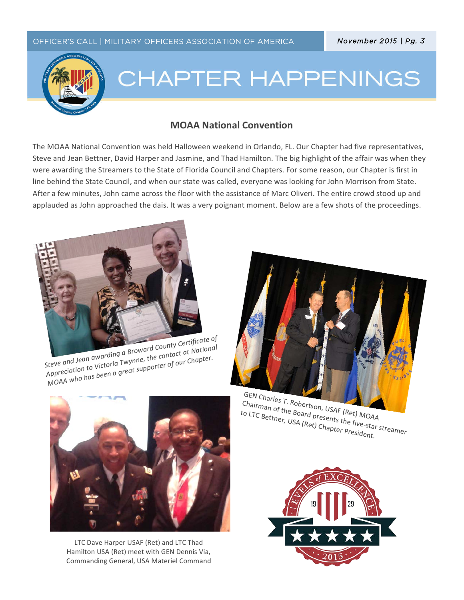#### OFFICER'S CALL | MILITARY OFFICERS ASSOCIATION OF AMERICA *November 2015 | Pg. 3*



# **CHAPTER HAPPENINGS**

#### **MOAA National Convention**

 $\mathcal{T}_{\mathcal{A}}$  (the text)  $\mathcal{T}_{\mathcal{A}}$  (the text)  $\mathcal{T}_{\mathcal{A}}$  (the text)  $\mathcal{T}_{\mathcal{A}}$ 

The MOAA National Convention was held Halloween weekend in Orlando, FL. Our Chapter had five representatives, Steve and Jean Bettner, David Harper and Jasmine, and Thad Hamilton. The big highlight of the affair was when they were awarding the Streamers to the State of Florida Council and Chapters. For some reason, our Chapter is first in line behind the State Council, and when our state was called, everyone was looking for John Morrison from State. After a few minutes, John came across the floor with the assistance of Marc Oliveri. The entire crowd stood up and applauded as John approached the dais. It was a very poignant moment. Below are a few shots of the proceedings.



Steve and Jean awarding a Broward County Certificate of *Appreciation to Victoria Twynne, the contact at National MOAA* who has been a great supporter of our Chapter.



LTC Dave Harper USAF (Ret) and LTC Thad Hamilton USA (Ret) meet with GEN Dennis Via, Commanding General, USA Materiel Command



GEN Charles T. Robertson, USAF (Ret) MOAA<br>Chairman of the Board presents the five-star s<br>to LTC Bettner, USA (Ret) Chapter President. Chairman of the Board presents the five-star streamer<br>to LTC Bettner, USA (Ret) Chapter President.

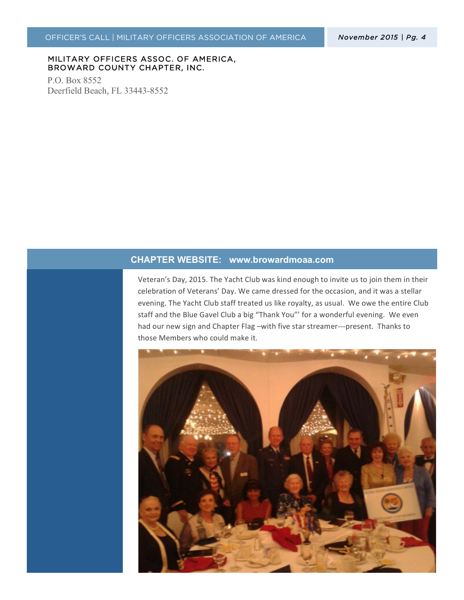*November 2015 | Pg. 4* 

#### MILITARY OFFICERS ASSOC. OF AMERICA, BROWARD COUNTY CHAPTER, INC.

P.O. Box 8552 Deerfield Beach, FL 33443-8552

#### **CHAPTER WEBSITE: www.browardmoaa.com**

Veteran's Day, 2015. The Yacht Club was kind enough to invite us to join them in their celebration of Veterans' Day. We came dressed for the occasion, and it was a stellar evening. The Yacht Club staff treated us like royalty, as usual. We owe the entire Club staff and the Blue Gavel Club a big "Thank You"' for a wonderful evening. We even had our new sign and Chapter Flag -with five star streamer---present. Thanks to those Members who could make it.